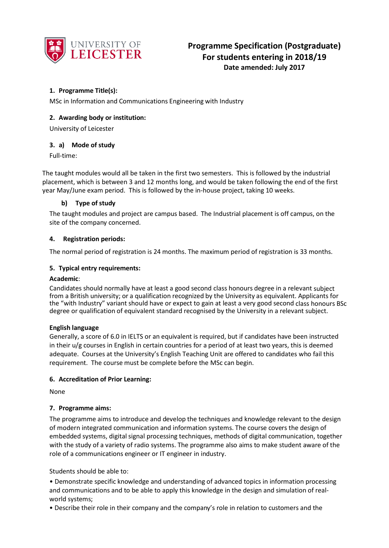

# **1. Programme Title(s):**

MSc in Information and Communications Engineering with Industry

## **2. Awarding body or institution:**

University of Leicester

## **3. a) Mode of study**

Full-time:

The taught modules would all be taken in the first two semesters. This is followed by the industrial placement, which is between 3 and 12 months long, and would be taken following the end of the first year May/June exam period. This is followed by the in-house project, taking 10 weeks.

## **b) Type of study**

The taught modules and project are campus based. The Industrial placement is off campus, on the site of the company concerned.

## **4. Registration periods:**

The normal period of registration is 24 months. The maximum period of registration is 33 months.

## **5. Typical entry requirements:**

#### **Academic**:

Candidates should normally have at least a good second class honours degree in a relevant subject from a British university; or a qualification recognized by the University as equivalent. Applicants for the "with Industry" variant should have or expect to gain at least a very good second class honours BSc degree or qualification of equivalent standard recognised by the University in a relevant subject.

#### **English language**

Generally, a score of 6.0 in IELTS or an equivalent is required, but if candidates have been instructed in their u/g courses in English in certain countries for a period of at least two years, this is deemed adequate. Courses at the University's English Teaching Unit are offered to candidates who fail this requirement. The course must be complete before the MSc can begin.

#### **6. Accreditation of Prior Learning:**

None

# **7. Programme aims:**

The programme aims to introduce and develop the techniques and knowledge relevant to the design of modern integrated communication and information systems. The course covers the design of embedded systems, digital signal processing techniques, methods of digital communication, together with the study of a variety of radio systems. The programme also aims to make student aware of the role of a communications engineer or IT engineer in industry.

Students should be able to:

• Demonstrate specific knowledge and understanding of advanced topics in information processing and communications and to be able to apply this knowledge in the design and simulation of realworld systems;

• Describe their role in their company and the company's role in relation to customers and the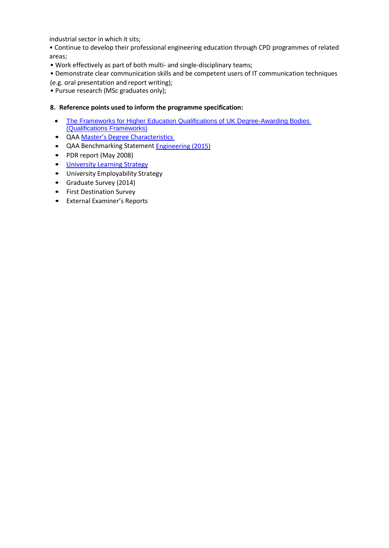industrial sector in which it sits;

• Continue to develop their professional engineering education through CPD programmes of related areas;

• Work effectively as part of both multi- and single-disciplinary teams;

• Demonstrate clear communication skills and be competent users of IT communication techniques (e.g. oral presentation and report writing);

• Pursue research (MSc graduates only);

## **8. Reference points used to inform the programme specification:**

- [The Frameworks for Higher Education Qualifications of UK Degree-Awarding Bodies](http://www.qaa.ac.uk/publications/information-and-guidance/publication?PubID=2843)  [\(Qualifications Frameworks\)](http://www.qaa.ac.uk/publications/information-and-guidance/publication?PubID=2843)
- QAA Master's Degree [Characteristics](http://www.qaa.ac.uk/en/Publications/Documents/Masters-Degree-Characteristics-2010.pdf)
- QAA Benchmarking Statement [Engineering \(2015\)](http://www.qaa.ac.uk/publications/information-and-guidance/publication?PubID=2910)
- PDR report (May 2008)
- **University [Learning Strategy](http://www2.le.ac.uk/offices/sas2/quality/learnteach)**
- University Employability Strategy
- Graduate Survey (2014)
- First Destination Survey
- External Examiner's Reports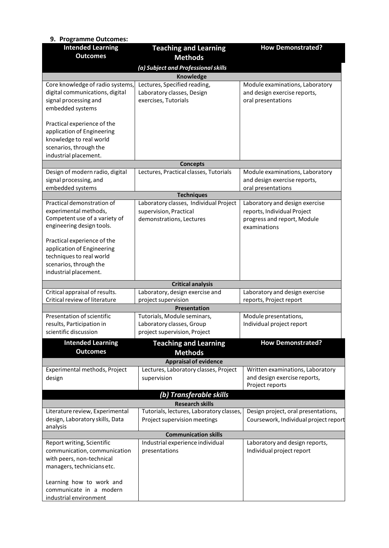| 9. Programme Outcomes:                            |                                            |                                                                 |  |  |  |
|---------------------------------------------------|--------------------------------------------|-----------------------------------------------------------------|--|--|--|
| <b>Intended Learning</b>                          | <b>Teaching and Learning</b>               | <b>How Demonstrated?</b>                                        |  |  |  |
| <b>Outcomes</b>                                   | <b>Methods</b>                             |                                                                 |  |  |  |
|                                                   | (a) Subject and Professional skills        |                                                                 |  |  |  |
| Knowledge                                         |                                            |                                                                 |  |  |  |
| Core knowledge of radio systems,                  | Lectures, Specified reading,               | Module examinations, Laboratory                                 |  |  |  |
| digital communications, digital                   | Laboratory classes, Design                 | and design exercise reports,                                    |  |  |  |
| signal processing and<br>embedded systems         | exercises, Tutorials                       | oral presentations                                              |  |  |  |
|                                                   |                                            |                                                                 |  |  |  |
| Practical experience of the                       |                                            |                                                                 |  |  |  |
| application of Engineering                        |                                            |                                                                 |  |  |  |
| knowledge to real world                           |                                            |                                                                 |  |  |  |
| scenarios, through the                            |                                            |                                                                 |  |  |  |
| industrial placement.                             |                                            |                                                                 |  |  |  |
| Design of modern radio, digital                   | <b>Concepts</b>                            |                                                                 |  |  |  |
| signal processing, and                            | Lectures, Practical classes, Tutorials     | Module examinations, Laboratory<br>and design exercise reports, |  |  |  |
| embedded systems                                  |                                            | oral presentations                                              |  |  |  |
|                                                   | <b>Techniques</b>                          |                                                                 |  |  |  |
| Practical demonstration of                        | Laboratory classes, Individual Project     | Laboratory and design exercise                                  |  |  |  |
| experimental methods,                             | supervision, Practical                     | reports, Individual Project                                     |  |  |  |
| Competent use of a variety of                     | demonstrations, Lectures                   | progress and report, Module                                     |  |  |  |
| engineering design tools.                         |                                            | examinations                                                    |  |  |  |
| Practical experience of the                       |                                            |                                                                 |  |  |  |
| application of Engineering                        |                                            |                                                                 |  |  |  |
| techniques to real world                          |                                            |                                                                 |  |  |  |
| scenarios, through the                            |                                            |                                                                 |  |  |  |
| industrial placement.                             |                                            |                                                                 |  |  |  |
|                                                   | <b>Critical analysis</b>                   |                                                                 |  |  |  |
| Critical appraisal of results.                    | Laboratory, design exercise and            | Laboratory and design exercise                                  |  |  |  |
| Critical review of literature                     | project supervision<br><b>Presentation</b> | reports, Project report                                         |  |  |  |
| Presentation of scientific                        | Tutorials, Module seminars,                | Module presentations,                                           |  |  |  |
| results, Participation in                         | Laboratory classes, Group                  | Individual project report                                       |  |  |  |
| scientific discussion                             | project supervision, Project               |                                                                 |  |  |  |
| <b>Intended Learning</b>                          | <b>Teaching and Learning</b>               | <b>How Demonstrated?</b>                                        |  |  |  |
| <b>Outcomes</b>                                   | <b>Methods</b>                             |                                                                 |  |  |  |
| <b>Appraisal of evidence</b>                      |                                            |                                                                 |  |  |  |
| Experimental methods, Project                     | Lectures, Laboratory classes, Project      | Written examinations, Laboratory                                |  |  |  |
| design                                            | supervision                                | and design exercise reports,                                    |  |  |  |
|                                                   |                                            | Project reports                                                 |  |  |  |
| (b) Transferable skills                           |                                            |                                                                 |  |  |  |
|                                                   | <b>Research skills</b>                     |                                                                 |  |  |  |
| Literature review, Experimental                   | Tutorials, lectures, Laboratory classes,   | Design project, oral presentations,                             |  |  |  |
| design, Laboratory skills, Data                   | Project supervision meetings               | Coursework, Individual project report                           |  |  |  |
| analysis                                          | <b>Communication skills</b>                |                                                                 |  |  |  |
| Report writing, Scientific                        | Industrial experience individual           | Laboratory and design reports,                                  |  |  |  |
| communication, communication                      | presentations                              | Individual project report                                       |  |  |  |
| with peers, non-technical                         |                                            |                                                                 |  |  |  |
| managers, technicians etc.                        |                                            |                                                                 |  |  |  |
|                                                   |                                            |                                                                 |  |  |  |
| Learning how to work and                          |                                            |                                                                 |  |  |  |
| communicate in a modern<br>industrial environment |                                            |                                                                 |  |  |  |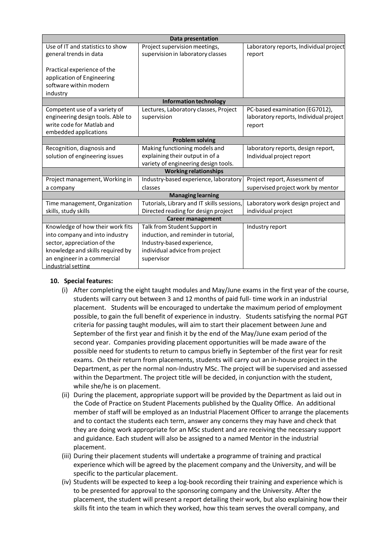| <b>Data presentation</b>          |                                            |                                        |  |  |  |
|-----------------------------------|--------------------------------------------|----------------------------------------|--|--|--|
| Use of IT and statistics to show  | Project supervision meetings,              | Laboratory reports, Individual project |  |  |  |
| general trends in data            | supervision in laboratory classes          | report                                 |  |  |  |
|                                   |                                            |                                        |  |  |  |
| Practical experience of the       |                                            |                                        |  |  |  |
| application of Engineering        |                                            |                                        |  |  |  |
| software within modern            |                                            |                                        |  |  |  |
| industry                          |                                            |                                        |  |  |  |
| Information technology            |                                            |                                        |  |  |  |
| Competent use of a variety of     | Lectures, Laboratory classes, Project      | PC-based examination (EG7012),         |  |  |  |
| engineering design tools. Able to | supervision                                | laboratory reports, Individual project |  |  |  |
| write code for Matlab and         |                                            | report                                 |  |  |  |
| embedded applications             |                                            |                                        |  |  |  |
| <b>Problem solving</b>            |                                            |                                        |  |  |  |
| Recognition, diagnosis and        | Making functioning models and              | laboratory reports, design report,     |  |  |  |
| solution of engineering issues    | explaining their output in of a            | Individual project report              |  |  |  |
|                                   | variety of engineering design tools.       |                                        |  |  |  |
| <b>Working relationships</b>      |                                            |                                        |  |  |  |
| Project management, Working in    | Industry-based experience, laboratory      | Project report, Assessment of          |  |  |  |
| a company                         | classes                                    | supervised project work by mentor      |  |  |  |
| <b>Managing learning</b>          |                                            |                                        |  |  |  |
| Time management, Organization     | Tutorials, Library and IT skills sessions, | Laboratory work design project and     |  |  |  |
| skills, study skills              | Directed reading for design project        | individual project                     |  |  |  |
| <b>Career management</b>          |                                            |                                        |  |  |  |
| Knowledge of how their work fits  | Talk from Student Support in               | Industry report                        |  |  |  |
| into company and into industry    | induction, and reminder in tutorial,       |                                        |  |  |  |
| sector, appreciation of the       | Industry-based experience,                 |                                        |  |  |  |
| knowledge and skills required by  | individual advice from project             |                                        |  |  |  |
| an engineer in a commercial       | supervisor                                 |                                        |  |  |  |
| industrial setting                |                                            |                                        |  |  |  |

# **10. Special features:**

- (i) After completing the eight taught modules and May/June exams in the first year of the course, students will carry out between 3 and 12 months of paid full- time work in an industrial placement. Students will be encouraged to undertake the maximum period of employment possible, to gain the full benefit of experience in industry. Students satisfying the normal PGT criteria for passing taught modules, will aim to start their placement between June and September of the first year and finish it by the end of the May/June exam period of the second year. Companies providing placement opportunities will be made aware of the possible need for students to return to campus briefly in September of the first year for resit exams. On their return from placements, students will carry out an in-house project in the Department, as per the normal non-Industry MSc. The project will be supervised and assessed within the Department. The project title will be decided, in conjunction with the student, while she/he is on placement.
- (ii) During the placement, appropriate support will be provided by the Department as laid out in the Code of Practice on Student Placements published by the Quality Office. An additional member of staff will be employed as an Industrial Placement Officer to arrange the placements and to contact the students each term, answer any concerns they may have and check that they are doing work appropriate for an MSc student and are receiving the necessary support and guidance. Each student will also be assigned to a named Mentor in the industrial placement.
- (iii) During their placement students will undertake a programme of training and practical experience which will be agreed by the placement company and the University, and will be specific to the particular placement.
- (iv) Students will be expected to keep a log-book recording their training and experience which is to be presented for approval to the sponsoring company and the University. After the placement, the student will present a report detailing their work, but also explaining how their skills fit into the team in which they worked, how this team serves the overall company, and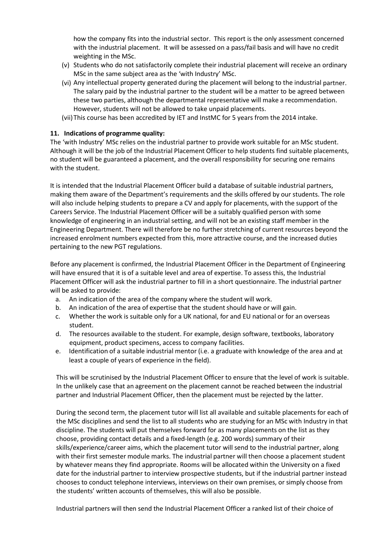how the company fits into the industrial sector. This report is the only assessment concerned with the industrial placement. It will be assessed on a pass/fail basis and will have no credit weighting in the MSc.

- (v) Students who do not satisfactorily complete their industrial placement will receive an ordinary MSc in the same subject area as the 'with Industry' MSc.
- (vi) Any intellectual property generated during the placement will belong to the industrial partner. The salary paid by the industrial partner to the student will be a matter to be agreed between these two parties, although the departmental representative will make a recommendation. However, students will not be allowed to take unpaid placements.
- (vii)This course has been accredited by IET and InstMC for 5 years from the 2014 intake.

## **11. Indications of programme quality:**

The 'with Industry' MSc relies on the industrial partner to provide work suitable for an MSc student. Although it will be the job of the Industrial Placement Officer to help students find suitable placements, no student will be guaranteed a placement, and the overall responsibility for securing one remains with the student.

It is intended that the Industrial Placement Officer build a database of suitable industrial partners, making them aware of the Department's requirements and the skills offered by our students. The role will also include helping students to prepare a CV and apply for placements, with the support of the Careers Service. The Industrial Placement Officer will be a suitably qualified person with some knowledge of engineering in an industrial setting, and will not be an existing staff member in the Engineering Department. There will therefore be no further stretching of current resources beyond the increased enrolment numbers expected from this, more attractive course, and the increased duties pertaining to the new PGT regulations.

Before any placement is confirmed, the Industrial Placement Officer in the Department of Engineering will have ensured that it is of a suitable level and area of expertise. To assess this, the Industrial Placement Officer will ask the industrial partner to fill in a short questionnaire. The industrial partner will be asked to provide:

- a. An indication of the area of the company where the student will work.
- b. An indication of the area of expertise that the student should have or will gain.
- c. Whether the work is suitable only for a UK national, for and EU national or for an overseas student.
- d. The resources available to the student. For example, design software, textbooks, laboratory equipment, product specimens, access to company facilities.
- e. Identification of a suitable industrial mentor (i.e. a graduate with knowledge of the area and at least a couple of years of experience in the field).

This will be scrutinised by the Industrial Placement Officer to ensure that the level of work is suitable. In the unlikely case that an agreement on the placement cannot be reached between the industrial partner and Industrial Placement Officer, then the placement must be rejected by the latter.

During the second term, the placement tutor will list all available and suitable placements for each of the MSc disciplines and send the list to all students who are studying for an MSc with Industry in that discipline. The students will put themselves forward for as many placements on the list as they choose, providing contact details and a fixed-length (e.g. 200 words) summary of their skills/experience/career aims, which the placement tutor will send to the industrial partner, along with their first semester module marks. The industrial partner will then choose a placement student by whatever means they find appropriate. Rooms will be allocated within the University on a fixed date for the industrial partner to interview prospective students, but if the industrial partner instead chooses to conduct telephone interviews, interviews on their own premises, or simply choose from the students' written accounts of themselves, this will also be possible.

Industrial partners will then send the Industrial Placement Officer a ranked list of their choice of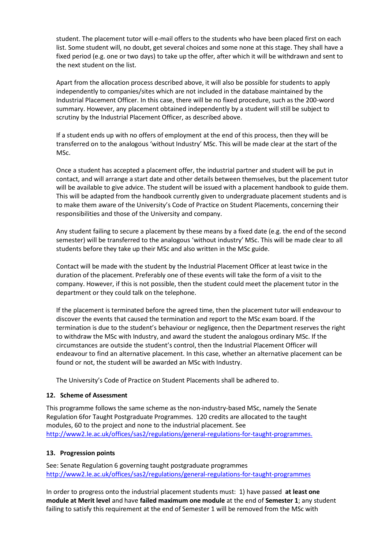student. The placement tutor will e-mail offers to the students who have been placed first on each list. Some student will, no doubt, get several choices and some none at this stage. They shall have a fixed period (e.g. one or two days) to take up the offer, after which it will be withdrawn and sent to the next student on the list.

Apart from the allocation process described above, it will also be possible for students to apply independently to companies/sites which are not included in the database maintained by the Industrial Placement Officer. In this case, there will be no fixed procedure, such as the 200-word summary. However, any placement obtained independently by a student will still be subject to scrutiny by the Industrial Placement Officer, as described above.

If a student ends up with no offers of employment at the end of this process, then they will be transferred on to the analogous 'without Industry' MSc. This will be made clear at the start of the MSc.

Once a student has accepted a placement offer, the industrial partner and student will be put in contact, and will arrange a start date and other details between themselves, but the placement tutor will be available to give advice. The student will be issued with a placement handbook to guide them. This will be adapted from the handbook currently given to undergraduate placement students and is to make them aware of the University's Code of Practice on Student Placements, concerning their responsibilities and those of the University and company.

Any student failing to secure a placement by these means by a fixed date (e.g. the end of the second semester) will be transferred to the analogous 'without industry' MSc. This will be made clear to all students before they take up their MSc and also written in the MSc guide.

Contact will be made with the student by the Industrial Placement Officer at least twice in the duration of the placement. Preferably one of these events will take the form of a visit to the company. However, if this is not possible, then the student could meet the placement tutor in the department or they could talk on the telephone.

If the placement is terminated before the agreed time, then the placement tutor will endeavour to discover the events that caused the termination and report to the MSc exam board. If the termination is due to the student's behaviour or negligence, then the Department reserves the right to withdraw the MSc with Industry, and award the student the analogous ordinary MSc. If the circumstances are outside the student's control, then the Industrial Placement Officer will endeavour to find an alternative placement. In this case, whether an alternative placement can be found or not, the student will be awarded an MSc with Industry.

The University's Code of Practice on Student Placements shall be adhered to.

# **12. Scheme of Assessment**

This programme follows the same scheme as the non-industry-based MSc, namely the Senate Regulation 6for Taught Postgraduate Programmes. 120 credits are allocated to the taught modules, 60 to the project and none to the industrial placement. See [http://www2.le.ac.uk/offices/sas2/regulations/general-regulations-for-taught-programmes.](http://www2.le.ac.uk/offices/sas2/regulations/general-regulations-for-taught-programmes)

#### **13. Progression points**

See: Senate Regulation 6 governing taught postgraduate programmes <http://www2.le.ac.uk/offices/sas2/regulations/general-regulations-for-taught-programmes>

In order to progress onto the industrial placement students must: 1) have passed **at least one module at Merit level** and have **failed maximum one module** at the end of **Semester 1**; any student failing to satisfy this requirement at the end of Semester 1 will be removed from the MSc with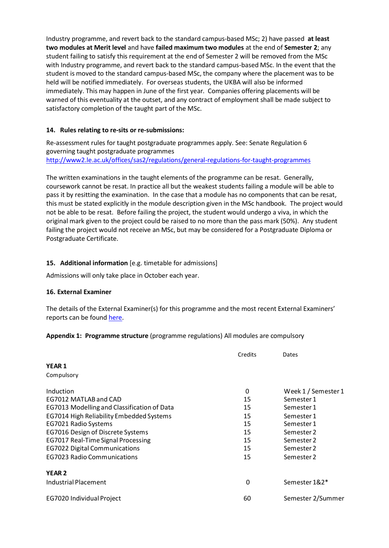Industry programme, and revert back to the standard campus-based MSc; 2) have passed **at least two modules at Merit level** and have **failed maximum two modules** at the end of **Semester 2**; any student failing to satisfy this requirement at the end of Semester 2 will be removed from the MSc with Industry programme, and revert back to the standard campus-based MSc. In the event that the student is moved to the standard campus-based MSc, the company where the placement was to be held will be notified immediately. For overseas students, the UKBA will also be informed immediately. This may happen in June of the first year. Companies offering placements will be warned of this eventuality at the outset, and any contract of employment shall be made subject to satisfactory completion of the taught part of the MSc.

## **14. Rules relating to re-sits or re-submissions:**

Re-assessment rules for taught postgraduate programmes apply. See: Senate Regulation 6 governing taught postgraduate programmes <http://www2.le.ac.uk/offices/sas2/regulations/general-regulations-for-taught-programmes>

The written examinations in the taught elements of the programme can be resat. Generally, coursework cannot be resat. In practice all but the weakest students failing a module will be able to pass it by resitting the examination. In the case that a module has no components that can be resat, this must be stated explicitly in the module description given in the MSc handbook. The project would not be able to be resat. Before failing the project, the student would undergo a viva, in which the original mark given to the project could be raised to no more than the pass mark (50%). Any student failing the project would not receive an MSc, but may be considered for a Postgraduate Diploma or Postgraduate Certificate.

# **15. Additional information** [e.g. timetable for admissions]

Admissions will only take place in October each year.

#### **16. External Examiner**

The details of the External Examiner(s) for this programme and the most recent External Examiners' reports can be found [here.](https://exampapers.le.ac.uk/xmlui/handle/123456789/214)

#### **Appendix 1: Programme structure** (programme regulations) All modules are compulsory

|                                             | Credits | Dates               |
|---------------------------------------------|---------|---------------------|
| <b>YEAR 1</b>                               |         |                     |
| Compulsory                                  |         |                     |
| Induction                                   | 0       | Week 1 / Semester 1 |
| EG7012 MATLAB and CAD                       | 15      | Semester 1          |
| EG7013 Modelling and Classification of Data | 15      | Semester 1          |
| EG7014 High Reliability Embedded Systems    | 15      | Semester 1          |
| EG7021 Radio Systems                        | 15      | Semester 1          |
| EG7016 Design of Discrete Systems           | 15      | Semester 2          |
| EG7017 Real-Time Signal Processing          | 15      | Semester 2          |
| <b>EG7022 Digital Communications</b>        | 15      | Semester 2          |
| <b>EG7023 Radio Communications</b>          | 15      | Semester 2          |
| <b>YEAR 2</b>                               |         |                     |
| Industrial Placement                        | 0       | Semester 1&2*       |
| EG7020 Individual Project                   | 60      | Semester 2/Summer   |